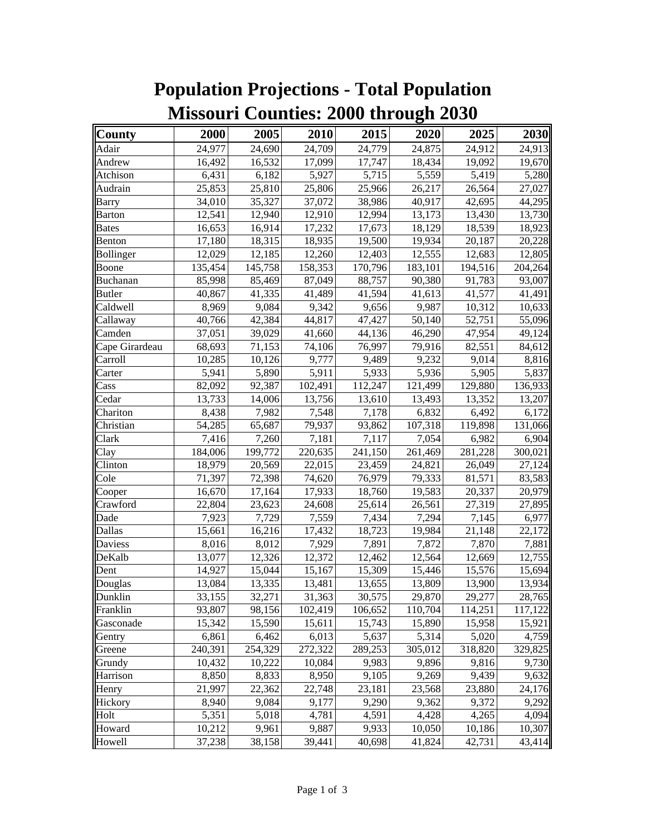| County         | 2000    | 2005    | 2010    | 2015    | 2020    | 2025    | 2030    |
|----------------|---------|---------|---------|---------|---------|---------|---------|
| Adair          | 24,977  | 24,690  | 24,709  | 24,779  | 24,875  | 24,912  | 24,913  |
| Andrew         | 16,492  | 16,532  | 17,099  | 17,747  | 18,434  | 19,092  | 19,670  |
| Atchison       | 6,431   | 6,182   | 5,927   | 5,715   | 5,559   | 5,419   | 5,280   |
| Audrain        | 25,853  | 25,810  | 25,806  | 25,966  | 26,217  | 26,564  | 27,027  |
| Barry          | 34,010  | 35,327  | 37,072  | 38,986  | 40,917  | 42,695  | 44,295  |
| Barton         | 12,541  | 12,940  | 12,910  | 12,994  | 13,173  | 13,430  | 13,730  |
| <b>Bates</b>   | 16,653  | 16,914  | 17,232  | 17,673  | 18,129  | 18,539  | 18,923  |
| Benton         | 17,180  | 18,315  | 18,935  | 19,500  | 19,934  | 20,187  | 20,228  |
| Bollinger      | 12,029  | 12,185  | 12,260  | 12,403  | 12,555  | 12,683  | 12,805  |
| Boone          | 135,454 | 145,758 | 158,353 | 170,796 | 183,101 | 194,516 | 204,264 |
| Buchanan       | 85,998  | 85,469  | 87,049  | 88,757  | 90,380  | 91,783  | 93,007  |
| <b>Butler</b>  | 40,867  | 41,335  | 41,489  | 41,594  | 41,613  | 41,577  | 41,491  |
| Caldwell       | 8,969   | 9,084   | 9,342   | 9,656   | 9,987   | 10,312  | 10,633  |
| Callaway       | 40,766  | 42,384  | 44,817  | 47,427  | 50,140  | 52,751  | 55,096  |
| Camden         | 37,051  | 39,029  | 41,660  | 44,136  | 46,290  | 47,954  | 49,124  |
| Cape Girardeau | 68,693  | 71,153  | 74,106  | 76,997  | 79,916  | 82,551  | 84,612  |
| Carroll        | 10,285  | 10,126  | 9,777   | 9,489   | 9,232   | 9,014   | 8,816   |
| Carter         | 5,941   | 5,890   | 5,911   | 5,933   | 5,936   | 5,905   | 5,837   |
| Cass           | 82,092  | 92,387  | 102,491 | 112,247 | 121,499 | 129,880 | 136,933 |
| Cedar          | 13,733  | 14,006  | 13,756  | 13,610  | 13,493  | 13,352  | 13,207  |
| Chariton       | 8,438   | 7,982   | 7,548   | 7,178   | 6,832   | 6,492   | 6,172   |
| Christian      | 54,285  | 65,687  | 79,937  | 93,862  | 107,318 | 119,898 | 131,066 |
| Clark          | 7,416   | 7,260   | 7,181   | 7,117   | 7,054   | 6,982   | 6,904   |
| Clay           | 184,006 | 199,772 | 220,635 | 241,150 | 261,469 | 281,228 | 300,021 |
| Clinton        | 18,979  | 20,569  | 22,015  | 23,459  | 24,821  | 26,049  | 27,124  |
| Cole           | 71,397  | 72,398  | 74,620  | 76,979  | 79,333  | 81,571  | 83,583  |
| Cooper         | 16,670  | 17,164  | 17,933  | 18,760  | 19,583  | 20,337  | 20,979  |
| Crawford       | 22,804  | 23,623  | 24,608  | 25,614  | 26,561  | 27,319  | 27,895  |
| Dade           | 7,923   | 7,729   | 7,559   | 7,434   | 7,294   | 7,145   | 6,977   |
| Dallas         | 15,661  | 16,216  | 17,432  | 18,723  | 19,984  | 21,148  | 22,172  |
| Daviess        | 8,016   | 8,012   | 7,929   | 7,891   | 7,872   | 7,870   | 7,881   |
| DeKalb         | 13,077  | 12,326  | 12,372  | 12,462  | 12,564  | 12,669  | 12,755  |
| Dent           | 14,927  | 15,044  | 15,167  | 15,309  | 15,446  | 15,576  | 15,694  |
| Douglas        | 13,084  | 13,335  | 13,481  | 13,655  | 13,809  | 13,900  | 13,934  |
| Dunklin        | 33,155  | 32,271  | 31,363  | 30,575  | 29,870  | 29,277  | 28,765  |
| Franklin       | 93,807  | 98,156  | 102,419 | 106,652 | 110,704 | 114,251 | 117,122 |
| Gasconade      | 15,342  | 15,590  | 15,611  | 15,743  | 15,890  | 15,958  | 15,921  |
| Gentry         | 6,861   | 6,462   | 6,013   | 5,637   | 5,314   | 5,020   | 4,759   |
| Greene         | 240,391 | 254,329 | 272,322 | 289,253 | 305,012 | 318,820 | 329,825 |
| Grundy         | 10,432  | 10,222  | 10,084  | 9,983   | 9,896   | 9,816   | 9,730   |
| Harrison       | 8,850   | 8,833   | 8,950   | 9,105   | 9,269   | 9,439   | 9,632   |
| Henry          | 21,997  | 22,362  | 22,748  | 23,181  | 23,568  | 23,880  | 24,176  |
| Hickory        | 8,940   | 9,084   | 9,177   | 9,290   | 9,362   | 9,372   | 9,292   |
| Holt           | 5,351   | 5,018   | 4,781   | 4,591   | 4,428   | 4,265   | 4,094   |
| Howard         | 10,212  | 9,961   | 9,887   | 9,933   | 10,050  | 10,186  | 10,307  |
| Howell         | 37,238  | 38,158  | 39,441  | 40,698  | 41,824  | 42,731  | 43,414  |

## **Population Projections - Total Population Missouri Counties: 2000 through 2030**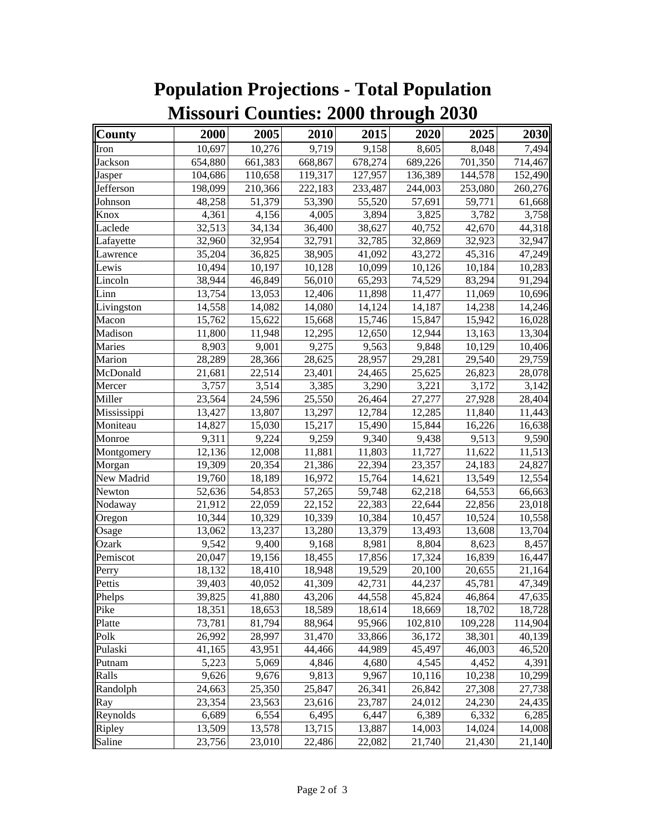| County      | 2000    | 2005    | 2010    | 2015    | 2020    | 2025    | 2030    |
|-------------|---------|---------|---------|---------|---------|---------|---------|
| Iron        | 10,697  | 10,276  | 9,719   | 9,158   | 8,605   | 8,048   | 7,494   |
| Jackson     | 654,880 | 661,383 | 668,867 | 678,274 | 689,226 | 701,350 | 714,467 |
| Jasper      | 104,686 | 110,658 | 119,317 | 127,957 | 136,389 | 144,578 | 152,490 |
| Jefferson   | 198,099 | 210,366 | 222,183 | 233,487 | 244,003 | 253,080 | 260,276 |
| Johnson     | 48,258  | 51,379  | 53,390  | 55,520  | 57,691  | 59,771  | 61,668  |
| Knox        | 4,361   | 4,156   | 4,005   | 3,894   | 3,825   | 3,782   | 3,758   |
| Laclede     | 32,513  | 34,134  | 36,400  | 38,627  | 40,752  | 42,670  | 44,318  |
| Lafayette   | 32,960  | 32,954  | 32,791  | 32,785  | 32,869  | 32,923  | 32,947  |
| Lawrence    | 35,204  | 36,825  | 38,905  | 41,092  | 43,272  | 45,316  | 47,249  |
| Lewis       | 10,494  | 10,197  | 10,128  | 10,099  | 10,126  | 10,184  | 10,283  |
| Lincoln     | 38,944  | 46,849  | 56,010  | 65,293  | 74,529  | 83,294  | 91,294  |
| Linn        | 13,754  | 13,053  | 12,406  | 11,898  | 11,477  | 11,069  | 10,696  |
| Livingston  | 14,558  | 14,082  | 14,080  | 14,124  | 14,187  | 14,238  | 14,246  |
| Macon       | 15,762  | 15,622  | 15,668  | 15,746  | 15,847  | 15,942  | 16,028  |
| Madison     | 11,800  | 11,948  | 12,295  | 12,650  | 12,944  | 13,163  | 13,304  |
| Maries      | 8,903   | 9,001   | 9,275   | 9,563   | 9,848   | 10,129  | 10,406  |
| Marion      | 28,289  | 28,366  | 28,625  | 28,957  | 29,281  | 29,540  | 29,759  |
| McDonald    | 21,681  | 22,514  | 23,401  | 24,465  | 25,625  | 26,823  | 28,078  |
| Mercer      | 3,757   | 3,514   | 3,385   | 3,290   | 3,221   | 3,172   | 3,142   |
| Miller      | 23,564  | 24,596  | 25,550  | 26,464  | 27,277  | 27,928  | 28,404  |
| Mississippi | 13,427  | 13,807  | 13,297  | 12,784  | 12,285  | 11,840  | 11,443  |
| Moniteau    | 14,827  | 15,030  | 15,217  | 15,490  | 15,844  | 16,226  | 16,638  |
| Monroe      | 9,311   | 9,224   | 9,259   | 9,340   | 9,438   | 9,513   | 9,590   |
| Montgomery  | 12,136  | 12,008  | 11,881  | 11,803  | 11,727  | 11,622  | 11,513  |
| Morgan      | 19,309  | 20,354  | 21,386  | 22,394  | 23,357  | 24,183  | 24,827  |
| New Madrid  | 19,760  | 18,189  | 16,972  | 15,764  | 14,621  | 13,549  | 12,554  |
| Newton      | 52,636  | 54,853  | 57,265  | 59,748  | 62,218  | 64,553  | 66,663  |
| Nodaway     | 21,912  | 22,059  | 22,152  | 22,383  | 22,644  | 22,856  | 23,018  |
| Oregon      | 10,344  | 10,329  | 10,339  | 10,384  | 10,457  | 10,524  | 10,558  |
| Osage       | 13,062  | 13,237  | 13,280  | 13,379  | 13,493  | 13,608  | 13,704  |
| Ozark       | 9,542   | 9,400   | 9,168   | 8,981   | 8,804   | 8,623   | 8,457   |
| Pemiscot    | 20,047  | 19,156  | 18,455  | 17,856  | 17,324  | 16,839  | 16,447  |
| Perry       | 18,132  | 18,410  | 18,948  | 19,529  | 20,100  | 20,655  | 21,164  |
| Pettis      | 39,403  | 40,052  | 41,309  | 42,731  | 44,237  | 45,781  | 47,349  |
| Phelps      | 39,825  | 41,880  | 43,206  | 44,558  | 45,824  | 46,864  | 47,635  |
| Pike        | 18,351  | 18,653  | 18,589  | 18,614  | 18,669  | 18,702  | 18,728  |
| Platte      | 73,781  | 81,794  | 88,964  | 95,966  | 102,810 | 109,228 | 114,904 |
| Polk        | 26,992  | 28,997  | 31,470  | 33,866  | 36,172  | 38,301  | 40,139  |
| Pulaski     | 41,165  | 43,951  | 44,466  | 44,989  | 45,497  | 46,003  | 46,520  |
| Putnam      | 5,223   | 5,069   | 4,846   | 4,680   | 4,545   | 4,452   | 4,391   |
| Ralls       | 9,626   | 9,676   | 9,813   | 9,967   | 10,116  | 10,238  | 10,299  |
| Randolph    | 24,663  | 25,350  | 25,847  | 26,341  | 26,842  | 27,308  | 27,738  |
| Ray         | 23,354  | 23,563  | 23,616  | 23,787  | 24,012  | 24,230  | 24,435  |
| Reynolds    | 6,689   | 6,554   | 6,495   | 6,447   | 6,389   | 6,332   | 6,285   |
| Ripley      | 13,509  | 13,578  | 13,715  | 13,887  | 14,003  | 14,024  | 14,008  |
| Saline      | 23,756  | 23,010  | 22,486  | 22,082  | 21,740  | 21,430  | 21,140  |

## **Population Projections - Total Population Missouri Counties: 2000 through 2030**